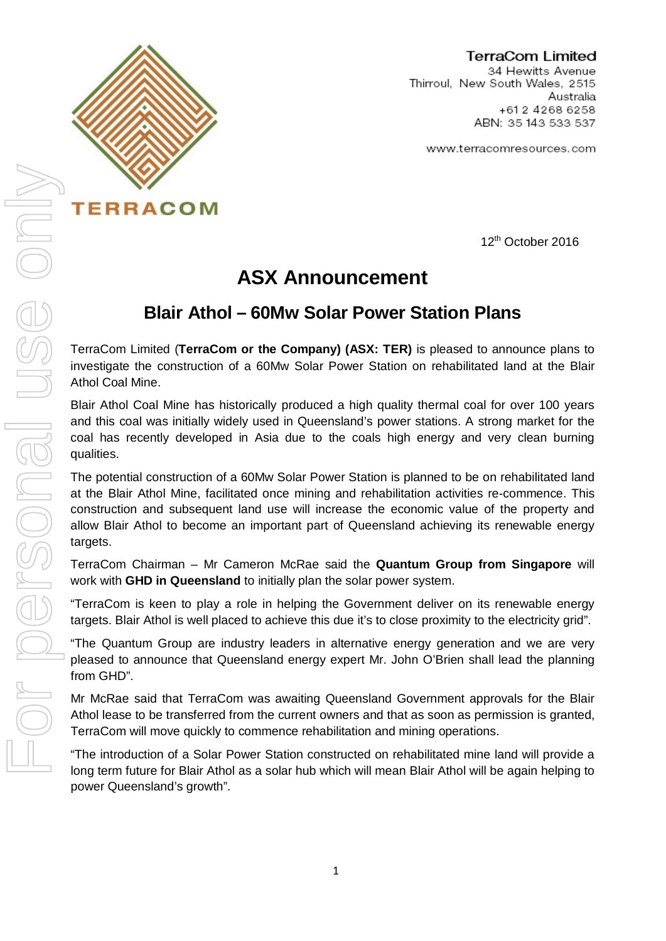

**TERRACOM** 

### TerraCom Limited

34 Hewitts Avenue Thirroul, New South Wales, 2515 Australia +612 4268 6258 ABN: 35 143 533 537

www.terracomresources.com

12th October 2016

# **ASX Announcement**

## **Blair Athol – 60Mw Solar Power Station Plans**

TerraCom Limited (**TerraCom or the Company) (ASX: TER)** is pleased to announce plans to investigate the construction of a 60Mw Solar Power Station on rehabilitated land at the Blair Athol Coal Mine.

Blair Athol Coal Mine has historically produced a high quality thermal coal for over 100 years and this coal was initially widely used in Queensland's power stations. A strong market for the coal has recently developed in Asia due to the coals high energy and very clean burning qualities.

The potential construction of a 60Mw Solar Power Station is planned to be on rehabilitated land at the Blair Athol Mine, facilitated once mining and rehabilitation activities re-commence. This construction and subsequent land use will increase the economic value of the property and allow Blair Athol to become an important part of Queensland achieving its renewable energy targets.

TerraCom Chairman – Mr Cameron McRae said the **Quantum Group from Singapore** will work with **GHD in Queensland** to initially plan the solar power system.

"TerraCom is keen to play a role in helping the Government deliver on its renewable energy targets. Blair Athol is well placed to achieve this due it's to close proximity to the electricity grid".

"The Quantum Group are industry leaders in alternative energy generation and we are very pleased to announce that Queensland energy expert Mr. John O'Brien shall lead the planning from GHD".

Mr McRae said that TerraCom was awaiting Queensland Government approvals for the Blair Athol lease to be transferred from the current owners and that as soon as permission is granted, TerraCom will move quickly to commence rehabilitation and mining operations.

"The introduction of a Solar Power Station constructed on rehabilitated mine land will provide a long term future for Blair Athol as a solar hub which will mean Blair Athol will be again helping to power Queensland's growth".